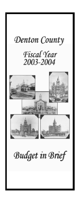# Denton County

# Fiscal Year 2003-2004



**Budget in Brief**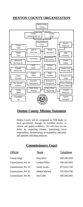## **DENTON COUNTY ORGANIZATION**



## **Denton County Mission Statement**

Denton County will be recognized as THE leader in local government through its excellent service to citizens and quality workforce. We will carry out our duties by respecting citizens, maintaining fiscal responsibility, demonstrating accountability, and fairly and equitably allocating resources.

## **Commissioners Court**

| <b>Official</b>       | Name                   | Telephone    |
|-----------------------|------------------------|--------------|
| County Judge          | Mary Horn              | 940.349.2820 |
| Commissioner, Pct. #1 | Cynthia White          | 940.349.2810 |
| Commissioner, Pct. #2 | Sandy Jacobs           | 972.434.7140 |
| Commissioner, Pct. #3 | <b>Bobbie Mitchell</b> | 972.434.4780 |
| Commissioner, Pct. #4 | Jim Carter             | 940.349.2801 |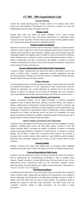## **FY 2003 - 2004 Organizational Goals**

#### *Strategic Planning*

Continue the strategic planning process; Continue analysis of key strategic issues; Refine mission and vision statements; Development of an actual plan to address key issues and; Implementation of the first phase of the master space plan.

#### *Manage Growth*

Develop master plans that address all growth challenges of the county; Continue implementation of road bond issues and increase infrastructure for transportation needs; Continue to evaluate acquisition of land for future county facilitiesincluding satellite locations and; Continue needs assessment for phase-in of additional jail beds.

#### *Promote Economic Development*

Promote the location of new businesses and the retention and expansion of current businesses within the county to expand the tax base; Provide employment opportunities for Denton County residents and existing Denton County businesses; Augment county site development, labor and demographic database and mapping system to conduct site analysis for prospective businesses; Utilize marketing tools to promote the county's economic development program; Continue to enhance communications with cities, school districts, and chambers of commerce to promote economic developmentand;Continue to work with the Economic Development Commission to promote business retention and expansion.

#### *Increase Communications with Citizens & Other Organizations*

Continue to enhance communications and improve the quality of government services to the citizens of Denton County, community organizations, non-profit organizations and other governmental agencies including cities and school districts, by utilizing the Internet and other electronic media in the most cost effective manner.

#### *Enhance Revenues*

Continue acquiring contracts with other governmental entities to lease jail beds only if jail beds are available and anticipated to be so for a long period of time; Continue review of all fees collected for appropriate cost; Continue improving the collection rate of fees and fines; Maintain or improve tax collection rate for current and delinquent taxes and; Continue to analyze jail population and the affects that State jail projections will have on current revenues.

#### *Improve Operational Efficiency and Productivity*

Enhance e-government solutions and use digital technologies to transform government operations in order to improve effectiveness, efficiency and service delivery and; Continue to enhance computerization for departments; Continue development of policies, procedures, and systems to improve operational efficiency and reduce duplication; Review implementation and enhancement of performance measurements; Improve communication between departments through the use of Internet and Intra-Net services and; Strive for accountability and results based on performance including but notlimited to performance goals and objectives that can be measured based on outcomes instead of inputs and outputs.

#### *Improve Employee Environment and Compensation*

Continue to review and enhance the STEP merit pay system and incentiveprograms for county employees, including market surveys, and other benefit options; Continue to review and enhance personnel policies; Encourage such qualities as flexibility to respond to non-ending changes, technological adeptness, recognition of societal diversity, an openness to continue learning, and the ability to inspire trust and promote ethical behavior and; Continue to encourage safety awareness among County employees. Locate additional possible employee benefitsthat do not necessarily originate from the county, but have a positive effect on county employees.

### *Financial Stability*

Maintain or improve bond rating; Insure highest return on investments within established standards and procedures and; Continue with analysis of the effect of additional long-term debt.

#### *Focus on Partnerships for Public Service*

In order to carry out requirements or duties of County government, the County will continue to build on public/private and non-governmental partnerships in order to maximize public resources; Expand our horizons to include different types of mutual objectives such as interorganizational services, transportation, health care, law enforcement, emergency services, general purchasing and future planning and; Together promote innovation in government by balancing competing values and demand

### *Prioritizing Expenditures*

Expenditures will be prioritized to insure that all public funds are used effectively to benefit the citizens of Denton County, realizing that each member of the Commissioners Court is guided by their own philosophy and will bring that to the table during the budget discussion. In order to properly ensure that public funds are spent on county priorities, all expenditures should be separated into categories as they effect county government. This would include at the least "mandated", "essential", "related to county government", and "not related to county government".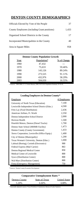# **DENTON COUNTY DEMOGRAPHICS**

| Officials Elected by Vote of the People      | 37    |
|----------------------------------------------|-------|
| County Employees (including Grant positions) | 1.433 |
| Organized School Districts in the County     | 17    |
| Incorporated Municipalities in the County    | 40    |
| Area in Square Miles                         | 958   |
|                                              |       |

| <b>Denton County Population Growth</b> |             |             |  |  |  |
|----------------------------------------|-------------|-------------|--|--|--|
| Year                                   | Population* | % of Change |  |  |  |
| 1960                                   | 47,432      |             |  |  |  |
| 1970                                   | 75,633      | 59.46%      |  |  |  |
| 1980                                   | 143.126     | 89.24%      |  |  |  |
| 1990                                   | 273,525     | 91.11%      |  |  |  |
| 2000                                   | 432.976     | 58.29%      |  |  |  |
| 2003                                   | 504,650     | 16.55%      |  |  |  |

\* Sources: 1960-2000, U. S. Census Bureau; 2000, NCTCOG Population Estimate, 01-01-01.

| <b>Leading Employers in Denton County*</b>     |             |  |  |  |
|------------------------------------------------|-------------|--|--|--|
| Employer                                       | # Employees |  |  |  |
| University of North Texas (Education)          | 7,100       |  |  |  |
| Lewisville Independent School District (Educ.) | 4,500       |  |  |  |
| Frito Lay (Food Distribution)                  | 2,436       |  |  |  |
| American Airlines, Ft. Worth                   | 2,350       |  |  |  |
| Denton Independent School District             | 2,000       |  |  |  |
| Horizon Health                                 | 1,500       |  |  |  |
| Peterbilt Motors, Denton (Diesel Trucks)       | 1,700       |  |  |  |
| Denton State School (MHMR Facility)            | 1,473       |  |  |  |
| Denton County (County Government)              | 1,433       |  |  |  |
| Xerox Corporation, Lewisville (Office Equip.)  | 1,400       |  |  |  |
| City of Denton (Municipality)                  | 1,200       |  |  |  |
| Texas Woman's University, Denton (Educ.)       | 1,000       |  |  |  |
| Labinal (Boeing), Corinth (Electronics)        | 900         |  |  |  |
| Federal Express (Mail Carrier)                 | 863         |  |  |  |
| Denton Regional Medical Center                 | 850         |  |  |  |
| Medical Center of Lewisville                   | 800         |  |  |  |
| Sysco (Distribution Center)                    | 800         |  |  |  |
| Wal-Mart (Distribution Center)                 | 800         |  |  |  |
| Fema (Emergency Management)                    | 750         |  |  |  |

\* Sources: Denton County Economic Development.

| State of Texas<br>Denton County | <b>Hnited States</b> |
|---------------------------------|----------------------|
| 5.20%<br>6.60%                  | 6.00%                |

\* Seasonally adjusted; sources: Texas Workforce Commission, Bureau of Labor Statistics.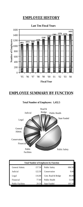# **EMPLOYEE HISTORY**



# **EMPLOYEE SUMMARY BY FUNCTION**



**Total Number of Employees: 1,432.5**

| <b>Total Number of Employees by Function</b> |        |                      |        |  |
|----------------------------------------------|--------|----------------------|--------|--|
| General Admin.                               | 157.50 | <b>Public Safety</b> | 684.50 |  |
| Judicial                                     | 122.50 | Conservation         | 9.00   |  |
| Legal                                        | 116.00 | Cent. Road & Bridge  | 80.00  |  |
| Financial                                    | 77.00  | Public Health        | 51.00  |  |
| <b>Public Facilities</b>                     | 29.50  | <b>State Funded</b>  | 105.50 |  |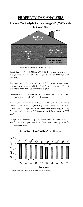## **PROPERTY TAX ANALYSIS**

## **Property Tax Analysis For the Average \$164,726 Home in Tax Year 2003**



\* Indicates Proposed tax rates for 2003-2004

County taxesfor FY 2002-2003 on a \$156,762 home, which was the county average, were \$390.29 based on the adopted tax rate of .24897¢ per \$100 valuation.

Evaluations by the Denton Central Appraisal District on existing property increased by an average of 5.1% for FY 2004. A home valued at \$156,762 would have, on an average, a current value of \$164,726.

County taxesfor FY 2003-2004 on the same house would be \$407.15 based on the property tax rate of .24717¢ per \$100 valuation.

If the valuation on your home was \$156,762 in FY 2002-2003 and remained the same in 2003-2004, county taxes on your home would be \$387.47, which is a decrease of \$2.82 per year. If your appraisal increased by approximately 5.1%, taxes will increase by \$19.68 per year or \$1.64 per month in 2003- 2004.

Changes in an individual taxpayer's county taxes are dependent on the specific change in property evaluation. The above figures are presented for comparison purposes.



**Denton County Prop. Tax Rates\*-Last 10 Years**

\* This chart reflects the actual adopted tax rates based on the tax year.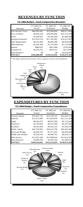## **REVENUES BY FUNCTION**

| Function                 | FY 2001-02<br>Actual | FY 2002-03<br>Estimates | FY 2003-04<br><b>Budget</b> |
|--------------------------|----------------------|-------------------------|-----------------------------|
| <b>Ad Valorem Taxes</b>  | \$66,983,003         | \$74,698,000            | \$80,677,883                |
| Fees of Office           | \$9,626,239          | \$10,850,000            | \$10,734,359                |
| Fines                    | \$3,204.592          | \$3,385,000             | \$3,480,000                 |
| Intergovernmental        | \$11,014,154         | \$11,391,903            | \$10,412,087                |
| <b>Auto Registration</b> | \$6,522,983          | \$6,685,000             | \$6,950,000                 |
| Miscellaneous            | \$1,935,308          | \$1,791,000             | \$1,574,000                 |
| <b>Interest</b>          | \$888.953            | \$631,900               | \$796,900                   |
| <b>Transfers</b> In      | \$2,633,761          | \$919,251               | \$523,996                   |
| Fund Balance*            | \$0                  | \$0                     | \$3,824,069                 |
| <b>TOTALS</b>            | \$102,808,993        | \$110.352.054           | \$118,973,294               |

## **FY 2004 Budget - Total Comparative Revenues**



## **EXPENDITURES BY FUNCTION**

**FY 2004 Budget - Total Comparative Expenditures** 

|                           | FY 2001-02    | FY 2002-03    | FY 2003-04    |
|---------------------------|---------------|---------------|---------------|
| Function                  | Actual        | Estimates     | Budget        |
| General Admin.            | \$12,697,742  | \$14,769,103  | \$16,942,224  |
| Judicial                  | \$11,071,869  | \$11.824.459  | \$12,121,404  |
| Legal                     | \$8,190,474   | \$8,852,280   | \$9,116,643   |
| Financial                 | \$3,793,665   | \$4,107,400   | \$4,347,095   |
| Facilities                | \$4,593,304   | \$5,636,142   | \$5,294,359   |
| Public Safety             | \$34,726,903  | \$36,623,700  | \$40,465,995  |
| Road and Bridge           | \$6,630,787   | \$7,471,032   | \$8,049,609   |
| <b>Health and Welfare</b> | \$5,205,919   | \$6,099,701   | \$6,434,713   |
| Debt Service              | \$13,922,586  | \$13,908,644  | \$13.914.329  |
| Miscellaneous             | \$3,690,786   | \$2,920,164   | \$2,286,923   |
| <b>TOTALS</b>             | \$104,524,035 | \$112,212,625 | \$118,973,294 |